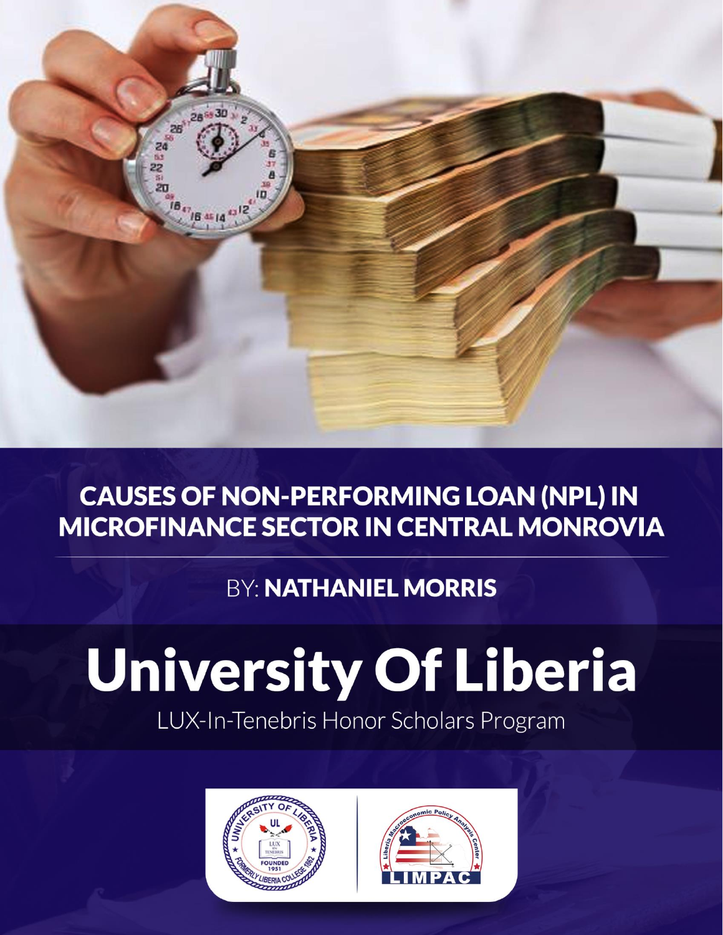

# **CAUSES OF NON-PERFORMING LOAN (NPL) IN MICROFINANCE SECTOR IN CENTRAL MONROVIA**

# **BY: NATHANIEL MORRIS**

LUX-In-Tenebris Honor Scholars Program



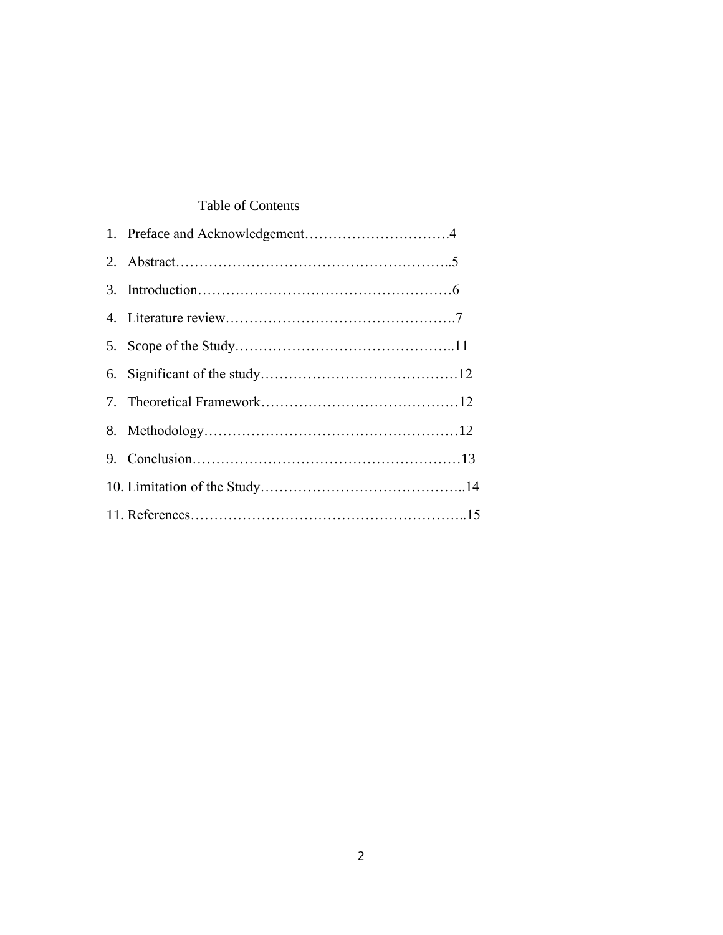# Table of Contents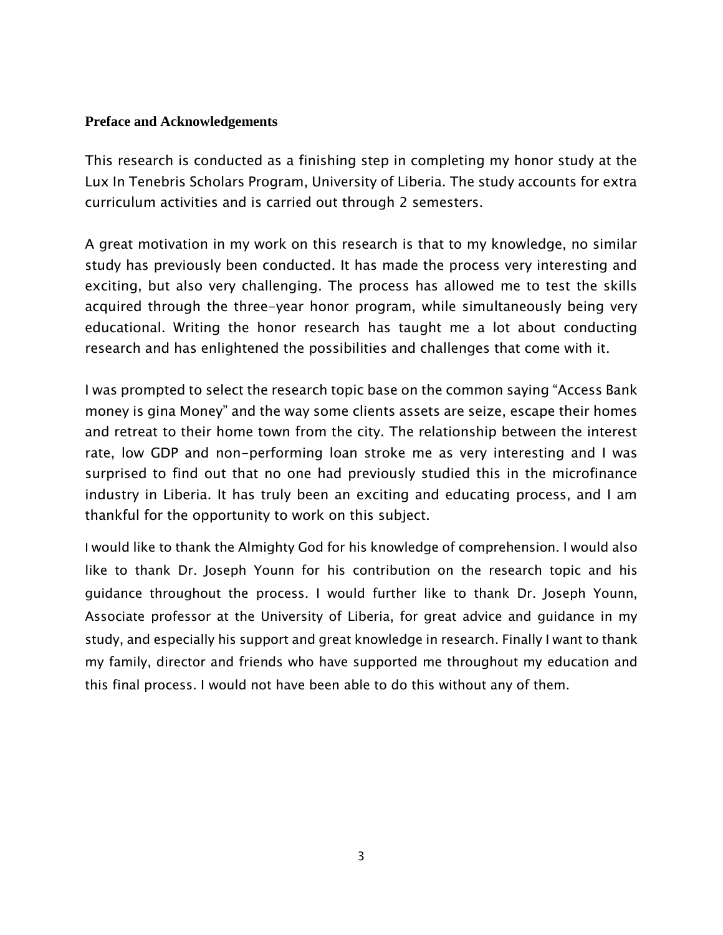# **Preface and Acknowledgements**

This research is conducted as a finishing step in completing my honor study at the Lux In Tenebris Scholars Program, University of Liberia. The study accounts for extra curriculum activities and is carried out through 2 semesters.

A great motivation in my work on this research is that to my knowledge, no similar study has previously been conducted. It has made the process very interesting and exciting, but also very challenging. The process has allowed me to test the skills acquired through the three-year honor program, while simultaneously being very educational. Writing the honor research has taught me a lot about conducting research and has enlightened the possibilities and challenges that come with it.

I was prompted to select the research topic base on the common saying "Access Bank money is gina Money" and the way some clients assets are seize, escape their homes and retreat to their home town from the city. The relationship between the interest rate, low GDP and non-performing loan stroke me as very interesting and I was surprised to find out that no one had previously studied this in the microfinance industry in Liberia. It has truly been an exciting and educating process, and I am thankful for the opportunity to work on this subject.

I would like to thank the Almighty God for his knowledge of comprehension. I would also like to thank Dr. Joseph Younn for his contribution on the research topic and his guidance throughout the process. I would further like to thank Dr. Joseph Younn, Associate professor at the University of Liberia, for great advice and guidance in my study, and especially his support and great knowledge in research. Finally I want to thank my family, director and friends who have supported me throughout my education and this final process. I would not have been able to do this without any of them.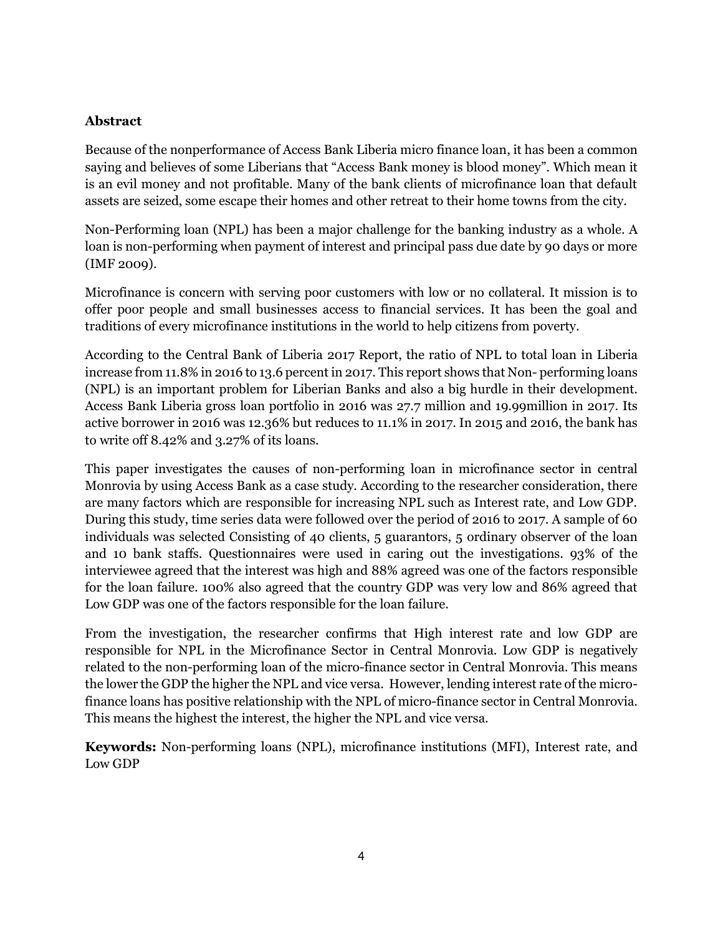# **Abstract**

Because of the nonperformance of Access Bank Liberia micro finance loan, it has been a common saying and believes of some Liberians that "Access Bank money is blood money". Which mean it is an evil money and not profitable. Many of the bank clients of microfinance loan that default assets are seized, some escape their homes and other retreat to their home towns from the city.

Non-Performing loan (NPL) has been a major challenge for the banking industry as a whole. A loan is non-performing when payment of interest and principal pass due date by 90 days or more (IMF 2009).

Microfinance is concern with serving poor customers with low or no collateral. It mission is to offer poor people and small businesses access to financial services. It has been the goal and traditions of every microfinance institutions in the world to help citizens from poverty.

According to the Central Bank of Liberia 2017 Report, the ratio of NPL to total loan in Liberia increase from 11.8% in 2016 to 13.6 percent in 2017. This report shows that Non- performing loans (NPL) is an important problem for Liberian Banks and also a big hurdle in their development. Access Bank Liberia gross loan portfolio in 2016 was 27.7 million and 19.99million in 2017. Its active borrower in 2016 was 12.36% but reduces to 11.1% in 2017. In 2015 and 2016, the bank has to write off 8.42% and 3.27% of its loans.

This paper investigates the causes of non-performing loan in microfinance sector in central Monrovia by using Access Bank as a case study. According to the researcher consideration, there are many factors which are responsible for increasing NPL such as Interest rate, and Low GDP. During this study, time series data were followed over the period of 2016 to 2017. A sample of 60 individuals was selected Consisting of 40 clients, 5 guarantors, 5 ordinary observer of the loan and 10 bank staffs. Questionnaires were used in caring out the investigations. 93% of the interviewee agreed that the interest was high and 88% agreed was one of the factors responsible for the loan failure. 100% also agreed that the country GDP was very low and 86% agreed that Low GDP was one of the factors responsible for the loan failure.

From the investigation, the researcher confirms that High interest rate and low GDP are responsible for NPL in the Microfinance Sector in Central Monrovia. Low GDP is negatively related to the non-performing loan of the micro-finance sector in Central Monrovia. This means the lower the GDP the higher the NPL and vice versa. However, lending interest rate of the microfinance loans has positive relationship with the NPL of micro-finance sector in Central Monrovia. This means the highest the interest, the higher the NPL and vice versa.

**Keywords:** Non-performing loans (NPL), microfinance institutions (MFI), Interest rate, and Low GDP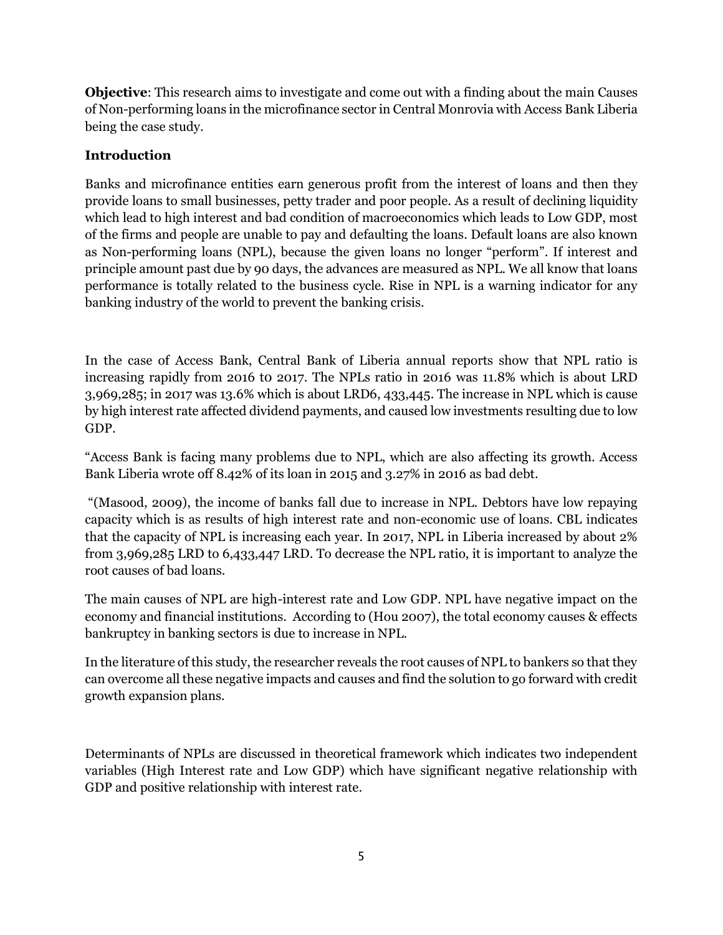**Objective**: This research aims to investigate and come out with a finding about the main Causes of Non-performing loans in the microfinance sector in Central Monrovia with Access Bank Liberia being the case study.

# **Introduction**

Banks and microfinance entities earn generous profit from the interest of loans and then they provide loans to small businesses, petty trader and poor people. As a result of declining liquidity which lead to high interest and bad condition of macroeconomics which leads to Low GDP, most of the firms and people are unable to pay and defaulting the loans. Default loans are also known as Non-performing loans (NPL), because the given loans no longer "perform". If interest and principle amount past due by 90 days, the advances are measured as NPL. We all know that loans performance is totally related to the business cycle. Rise in NPL is a warning indicator for any banking industry of the world to prevent the banking crisis.

In the case of Access Bank, Central Bank of Liberia annual reports show that NPL ratio is increasing rapidly from 2016 t0 2017. The NPLs ratio in 2016 was 11.8% which is about LRD 3,969,285; in 2017 was 13.6% which is about LRD6, 433,445. The increase in NPL which is cause by high interest rate affected dividend payments, and caused low investments resulting due to low GDP.

"Access Bank is facing many problems due to NPL, which are also affecting its growth. Access Bank Liberia wrote off 8.42% of its loan in 2015 and 3.27% in 2016 as bad debt.

"(Masood, 2009), the income of banks fall due to increase in NPL. Debtors have low repaying capacity which is as results of high interest rate and non-economic use of loans. CBL indicates that the capacity of NPL is increasing each year. In 2017, NPL in Liberia increased by about 2% from 3,969,285 LRD to 6,433,447 LRD. To decrease the NPL ratio, it is important to analyze the root causes of bad loans.

The main causes of NPL are high-interest rate and Low GDP. NPL have negative impact on the economy and financial institutions. According to (Hou 2007), the total economy causes & effects bankruptcy in banking sectors is due to increase in NPL.

In the literature of this study, the researcher reveals the root causes of NPL to bankers so that they can overcome all these negative impacts and causes and find the solution to go forward with credit growth expansion plans.

Determinants of NPLs are discussed in theoretical framework which indicates two independent variables (High Interest rate and Low GDP) which have significant negative relationship with GDP and positive relationship with interest rate.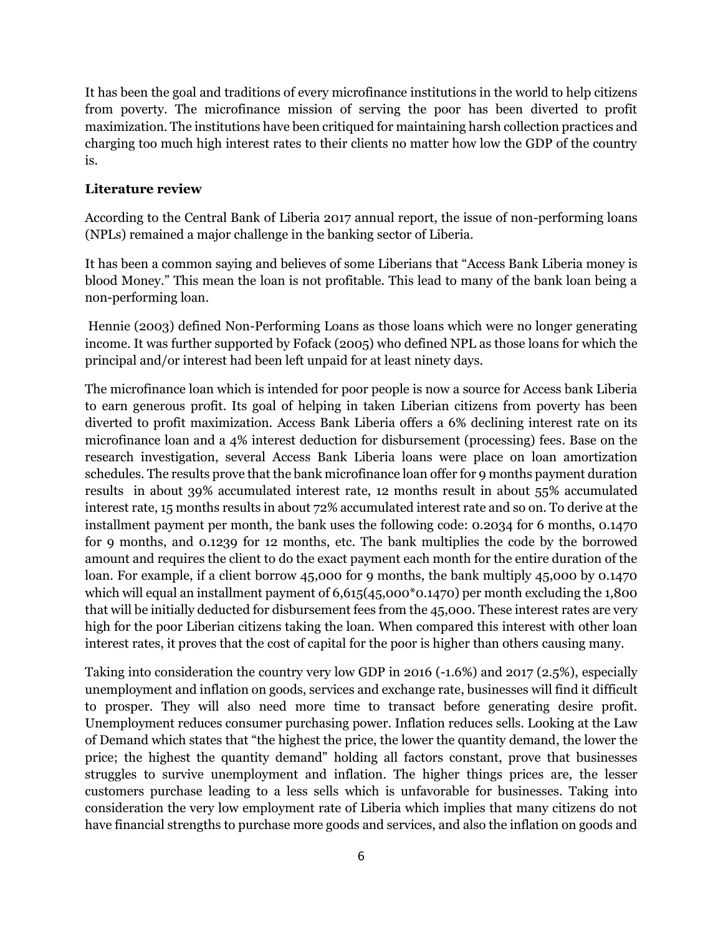It has been the goal and traditions of every microfinance institutions in the world to help citizens from poverty. The microfinance mission of serving the poor has been diverted to profit maximization. The institutions have been critiqued for maintaining harsh collection practices and charging too much high interest rates to their clients no matter how low the GDP of the country is.

#### **Literature review**

According to the Central Bank of Liberia 2017 annual report, the issue of non-performing loans (NPLs) remained a major challenge in the banking sector of Liberia.

It has been a common saying and believes of some Liberians that "Access Bank Liberia money is blood Money." This mean the loan is not profitable. This lead to many of the bank loan being a non-performing loan.

Hennie (2003) defined Non-Performing Loans as those loans which were no longer generating income. It was further supported by Fofack (2005) who defined NPL as those loans for which the principal and/or interest had been left unpaid for at least ninety days.

The microfinance loan which is intended for poor people is now a source for Access bank Liberia to earn generous profit. Its goal of helping in taken Liberian citizens from poverty has been diverted to profit maximization. Access Bank Liberia offers a 6% declining interest rate on its microfinance loan and a 4% interest deduction for disbursement (processing) fees. Base on the research investigation, several Access Bank Liberia loans were place on loan amortization schedules. The results prove that the bank microfinance loan offer for 9 months payment duration results in about 39% accumulated interest rate, 12 months result in about 55% accumulated interest rate, 15 months results in about 72% accumulated interest rate and so on. To derive at the installment payment per month, the bank uses the following code: 0.2034 for 6 months, 0.1470 for 9 months, and 0.1239 for 12 months, etc. The bank multiplies the code by the borrowed amount and requires the client to do the exact payment each month for the entire duration of the loan. For example, if a client borrow 45,000 for 9 months, the bank multiply 45,000 by 0.1470 which will equal an installment payment of  $6,615(45,000*0.1470)$  per month excluding the 1,800 that will be initially deducted for disbursement fees from the 45,000. These interest rates are very high for the poor Liberian citizens taking the loan. When compared this interest with other loan interest rates, it proves that the cost of capital for the poor is higher than others causing many.

Taking into consideration the country very low GDP in 2016 (-1.6%) and 2017 (2.5%), especially unemployment and inflation on goods, services and exchange rate, businesses will find it difficult to prosper. They will also need more time to transact before generating desire profit. Unemployment reduces consumer purchasing power. Inflation reduces sells. Looking at the Law of Demand which states that "the highest the price, the lower the quantity demand, the lower the price; the highest the quantity demand" holding all factors constant, prove that businesses struggles to survive unemployment and inflation. The higher things prices are, the lesser customers purchase leading to a less sells which is unfavorable for businesses. Taking into consideration the very low employment rate of Liberia which implies that many citizens do not have financial strengths to purchase more goods and services, and also the inflation on goods and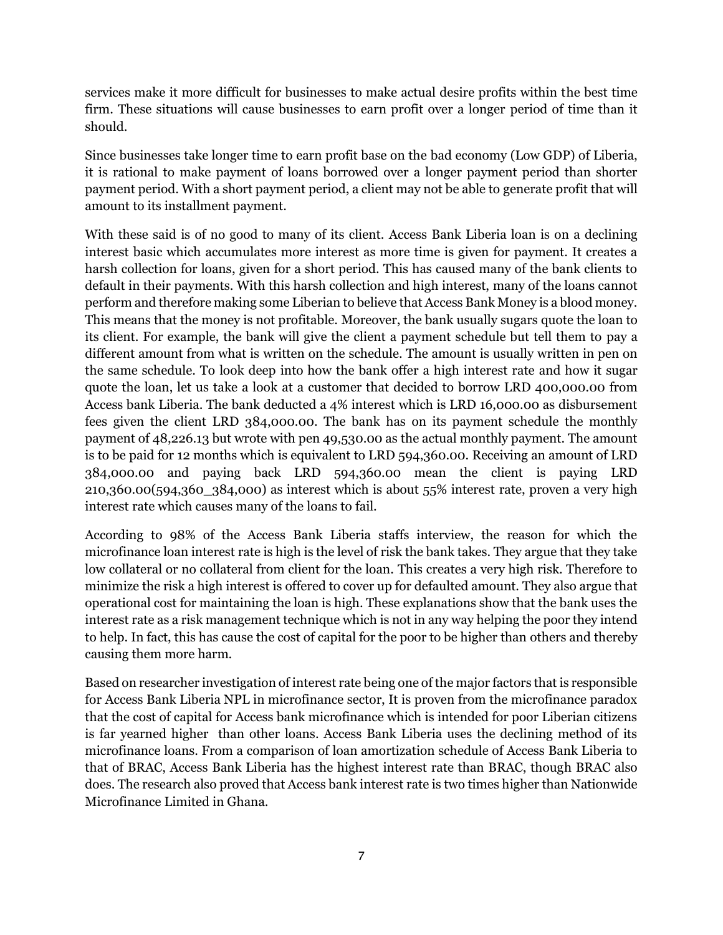services make it more difficult for businesses to make actual desire profits within the best time firm. These situations will cause businesses to earn profit over a longer period of time than it should.

Since businesses take longer time to earn profit base on the bad economy (Low GDP) of Liberia, it is rational to make payment of loans borrowed over a longer payment period than shorter payment period. With a short payment period, a client may not be able to generate profit that will amount to its installment payment.

With these said is of no good to many of its client. Access Bank Liberia loan is on a declining interest basic which accumulates more interest as more time is given for payment. It creates a harsh collection for loans, given for a short period. This has caused many of the bank clients to default in their payments. With this harsh collection and high interest, many of the loans cannot perform and therefore making some Liberian to believe that Access Bank Money is a blood money. This means that the money is not profitable. Moreover, the bank usually sugars quote the loan to its client. For example, the bank will give the client a payment schedule but tell them to pay a different amount from what is written on the schedule. The amount is usually written in pen on the same schedule. To look deep into how the bank offer a high interest rate and how it sugar quote the loan, let us take a look at a customer that decided to borrow LRD 400,000.00 from Access bank Liberia. The bank deducted a 4% interest which is LRD 16,000.00 as disbursement fees given the client LRD 384,000.00. The bank has on its payment schedule the monthly payment of 48,226.13 but wrote with pen 49,530.00 as the actual monthly payment. The amount is to be paid for 12 months which is equivalent to LRD 594,360.00. Receiving an amount of LRD 384,000.00 and paying back LRD 594,360.00 mean the client is paying LRD 210,360.00(594,360\_384,000) as interest which is about 55% interest rate, proven a very high interest rate which causes many of the loans to fail.

According to 98% of the Access Bank Liberia staffs interview, the reason for which the microfinance loan interest rate is high is the level of risk the bank takes. They argue that they take low collateral or no collateral from client for the loan. This creates a very high risk. Therefore to minimize the risk a high interest is offered to cover up for defaulted amount. They also argue that operational cost for maintaining the loan is high. These explanations show that the bank uses the interest rate as a risk management technique which is not in any way helping the poor they intend to help. In fact, this has cause the cost of capital for the poor to be higher than others and thereby causing them more harm.

Based on researcher investigation of interest rate being one of the major factors that is responsible for Access Bank Liberia NPL in microfinance sector, It is proven from the microfinance paradox that the cost of capital for Access bank microfinance which is intended for poor Liberian citizens is far yearned higher than other loans. Access Bank Liberia uses the declining method of its microfinance loans. From a comparison of loan amortization schedule of Access Bank Liberia to that of BRAC, Access Bank Liberia has the highest interest rate than BRAC, though BRAC also does. The research also proved that Access bank interest rate is two times higher than Nationwide Microfinance Limited in Ghana.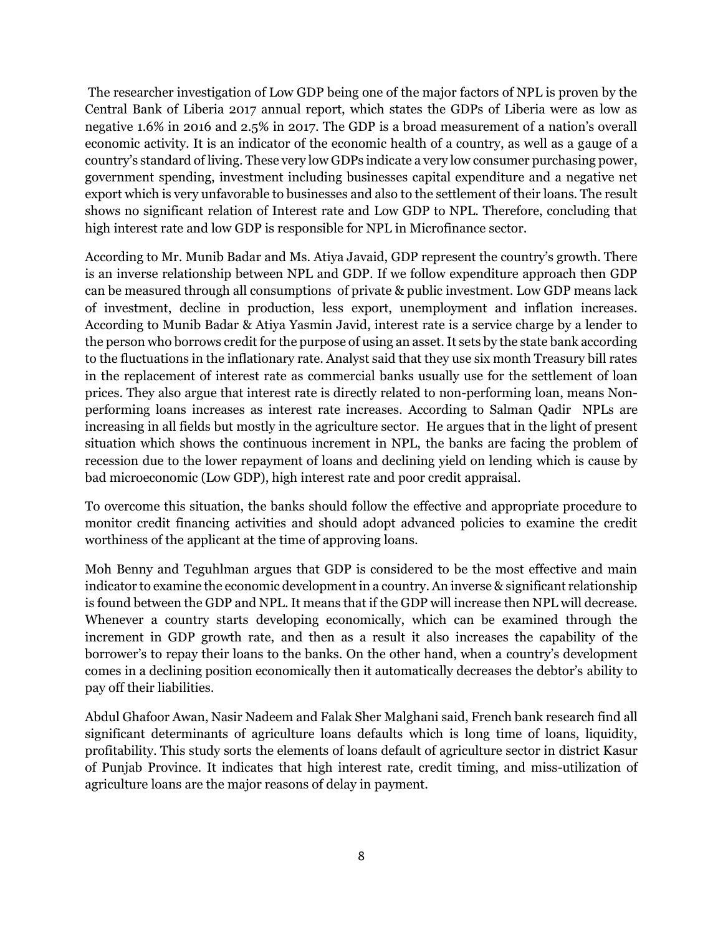The researcher investigation of Low GDP being one of the major factors of NPL is proven by the Central Bank of Liberia 2017 annual report, which states the GDPs of Liberia were as low as negative 1.6% in 2016 and 2.5% in 2017. The GDP is a broad measurement of a nation's overall economic activity. It is an indicator of the economic health of a country, as well as a gauge of a country's standard of living. These very low GDPs indicate a very low consumer purchasing power, government spending, investment including businesses capital expenditure and a negative net export which is very unfavorable to businesses and also to the settlement of their loans. The result shows no significant relation of Interest rate and Low GDP to NPL. Therefore, concluding that high interest rate and low GDP is responsible for NPL in Microfinance sector.

According to Mr. Munib Badar and Ms. Atiya Javaid, GDP represent the country's growth. There is an inverse relationship between NPL and GDP. If we follow expenditure approach then GDP can be measured through all consumptions of private & public investment. Low GDP means lack of investment, decline in production, less export, unemployment and inflation increases. According to Munib Badar & Atiya Yasmin Javid, interest rate is a service charge by a lender to the person who borrows credit for the purpose of using an asset. It sets by the state bank according to the fluctuations in the inflationary rate. Analyst said that they use six month Treasury bill rates in the replacement of interest rate as commercial banks usually use for the settlement of loan prices. They also argue that interest rate is directly related to non-performing loan, means Nonperforming loans increases as interest rate increases. According to Salman Qadir NPLs are increasing in all fields but mostly in the agriculture sector. He argues that in the light of present situation which shows the continuous increment in NPL, the banks are facing the problem of recession due to the lower repayment of loans and declining yield on lending which is cause by bad microeconomic (Low GDP), high interest rate and poor credit appraisal.

To overcome this situation, the banks should follow the effective and appropriate procedure to monitor credit financing activities and should adopt advanced policies to examine the credit worthiness of the applicant at the time of approving loans.

Moh Benny and Teguhlman argues that GDP is considered to be the most effective and main indicator to examine the economic development in a country. An inverse & significant relationship is found between the GDP and NPL. It means that if the GDP will increase then NPL will decrease. Whenever a country starts developing economically, which can be examined through the increment in GDP growth rate, and then as a result it also increases the capability of the borrower's to repay their loans to the banks. On the other hand, when a country's development comes in a declining position economically then it automatically decreases the debtor's ability to pay off their liabilities.

Abdul Ghafoor Awan, Nasir Nadeem and Falak Sher Malghani said, French bank research find all significant determinants of agriculture loans defaults which is long time of loans, liquidity, profitability. This study sorts the elements of loans default of agriculture sector in district Kasur of Punjab Province. It indicates that high interest rate, credit timing, and miss-utilization of agriculture loans are the major reasons of delay in payment.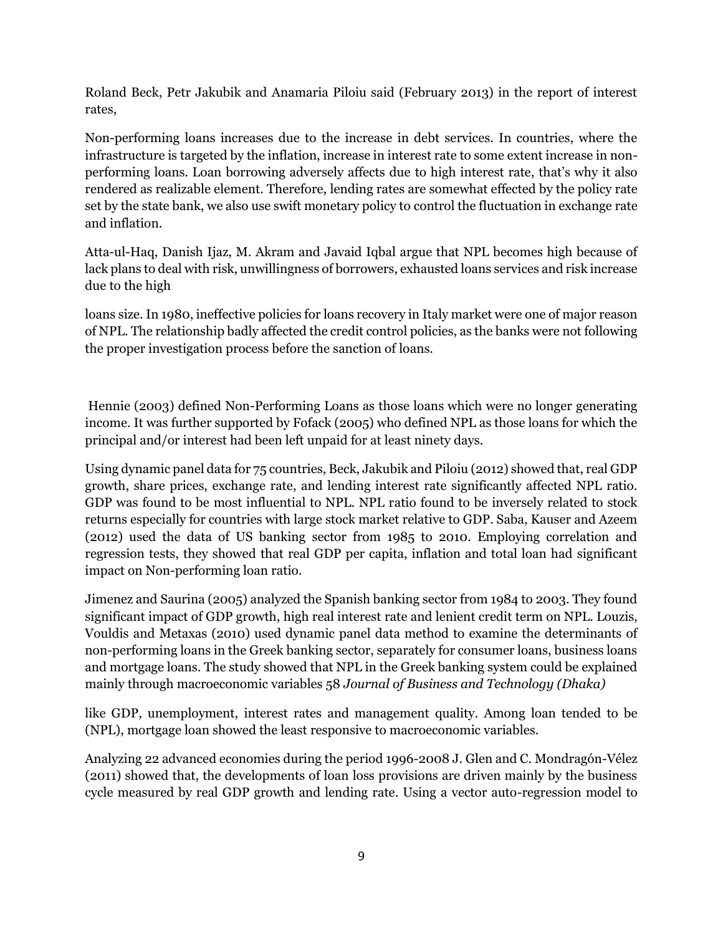Roland Beck, Petr Jakubik and Anamaria Piloiu said (February 2013) in the report of interest rates,

Non-performing loans increases due to the increase in debt services. In countries, where the infrastructure is targeted by the inflation, increase in interest rate to some extent increase in nonperforming loans. Loan borrowing adversely affects due to high interest rate, that's why it also rendered as realizable element. Therefore, lending rates are somewhat effected by the policy rate set by the state bank, we also use swift monetary policy to control the fluctuation in exchange rate and inflation.

Atta-ul-Haq, Danish Ijaz, M. Akram and Javaid Iqbal argue that NPL becomes high because of lack plans to deal with risk, unwillingness of borrowers, exhausted loans services and risk increase due to the high

loans size. In 1980, ineffective policies for loans recovery in Italy market were one of major reason of NPL. The relationship badly affected the credit control policies, as the banks were not following the proper investigation process before the sanction of loans.

Hennie (2003) defined Non-Performing Loans as those loans which were no longer generating income. It was further supported by Fofack (2005) who defined NPL as those loans for which the principal and/or interest had been left unpaid for at least ninety days.

Using dynamic panel data for 75 countries, Beck, Jakubik and Piloiu (2012) showed that, real GDP growth, share prices, exchange rate, and lending interest rate significantly affected NPL ratio. GDP was found to be most influential to NPL. NPL ratio found to be inversely related to stock returns especially for countries with large stock market relative to GDP. Saba, Kauser and Azeem (2012) used the data of US banking sector from 1985 to 2010. Employing correlation and regression tests, they showed that real GDP per capita, inflation and total loan had significant impact on Non-performing loan ratio.

Jimenez and Saurina (2005) analyzed the Spanish banking sector from 1984 to 2003. They found significant impact of GDP growth, high real interest rate and lenient credit term on NPL. Louzis, Vouldis and Metaxas (2010) used dynamic panel data method to examine the determinants of non-performing loans in the Greek banking sector, separately for consumer loans, business loans and mortgage loans. The study showed that NPL in the Greek banking system could be explained mainly through macroeconomic variables 58 *Journal of Business and Technology (Dhaka)* 

like GDP, unemployment, interest rates and management quality. Among loan tended to be (NPL), mortgage loan showed the least responsive to macroeconomic variables.

Analyzing 22 advanced economies during the period 1996-2008 J. Glen and C. Mondragón-Vélez (2011) showed that, the developments of loan loss provisions are driven mainly by the business cycle measured by real GDP growth and lending rate. Using a vector auto-regression model to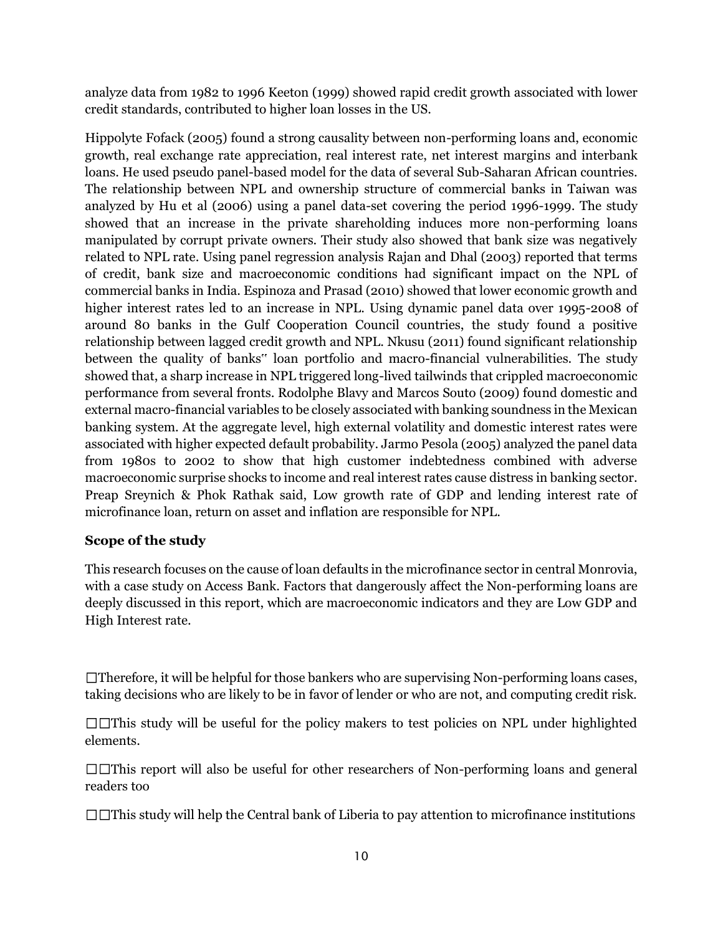analyze data from 1982 to 1996 Keeton (1999) showed rapid credit growth associated with lower credit standards, contributed to higher loan losses in the US.

Hippolyte Fofack (2005) found a strong causality between non-performing loans and, economic growth, real exchange rate appreciation, real interest rate, net interest margins and interbank loans. He used pseudo panel-based model for the data of several Sub-Saharan African countries. The relationship between NPL and ownership structure of commercial banks in Taiwan was analyzed by Hu et al (2006) using a panel data-set covering the period 1996-1999. The study showed that an increase in the private shareholding induces more non-performing loans manipulated by corrupt private owners. Their study also showed that bank size was negatively related to NPL rate. Using panel regression analysis Rajan and Dhal (2003) reported that terms of credit, bank size and macroeconomic conditions had significant impact on the NPL of commercial banks in India. Espinoza and Prasad (2010) showed that lower economic growth and higher interest rates led to an increase in NPL. Using dynamic panel data over 1995-2008 of around 80 banks in the Gulf Cooperation Council countries, the study found a positive relationship between lagged credit growth and NPL. Nkusu (2011) found significant relationship between the quality of banks" loan portfolio and macro-financial vulnerabilities. The study showed that, a sharp increase in NPL triggered long-lived tailwinds that crippled macroeconomic performance from several fronts. Rodolphe Blavy and Marcos Souto (2009) found domestic and external macro-financial variables to be closely associated with banking soundness in the Mexican banking system. At the aggregate level, high external volatility and domestic interest rates were associated with higher expected default probability. Jarmo Pesola (2005) analyzed the panel data from 1980s to 2002 to show that high customer indebtedness combined with adverse macroeconomic surprise shocks to income and real interest rates cause distress in banking sector. Preap Sreynich & Phok Rathak said, Low growth rate of GDP and lending interest rate of microfinance loan, return on asset and inflation are responsible for NPL.

# **Scope of the study**

This research focuses on the cause of loan defaults in the microfinance sector in central Monrovia, with a case study on Access Bank. Factors that dangerously affect the Non-performing loans are deeply discussed in this report, which are macroeconomic indicators and they are Low GDP and High Interest rate.

 $\Box$ Therefore, it will be helpful for those bankers who are supervising Non-performing loans cases, taking decisions who are likely to be in favor of lender or who are not, and computing credit risk.

This study will be useful for the policy makers to test policies on NPL under highlighted elements.

 $\square$  This report will also be useful for other researchers of Non-performing loans and general readers too

 $\Box$  This study will help the Central bank of Liberia to pay attention to microfinance institutions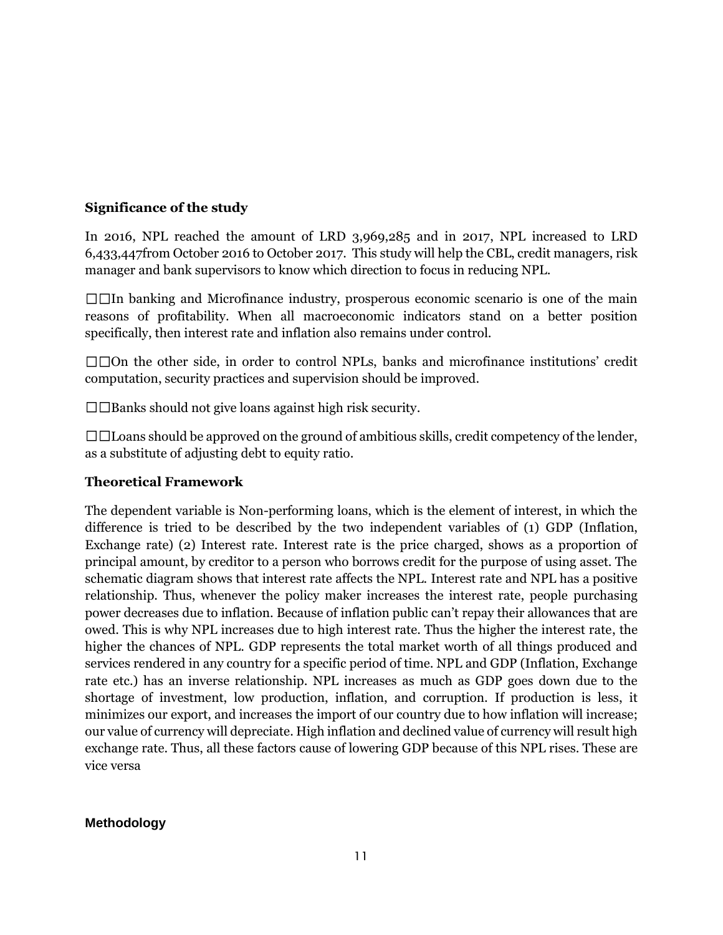## **Significance of the study**

In 2016, NPL reached the amount of LRD 3,969,285 and in 2017, NPL increased to LRD 6,433,447from October 2016 to October 2017. This study will help the CBL, credit managers, risk manager and bank supervisors to know which direction to focus in reducing NPL.

 $\square$ In banking and Microfinance industry, prosperous economic scenario is one of the main reasons of profitability. When all macroeconomic indicators stand on a better position specifically, then interest rate and inflation also remains under control.

 $\square$  TOn the other side, in order to control NPLs, banks and microfinance institutions' credit computation, security practices and supervision should be improved.

 $\square \square$  Banks should not give loans against high risk security.

 $\Box$  $\Box$ Loans should be approved on the ground of ambitious skills, credit competency of the lender, as a substitute of adjusting debt to equity ratio.

### **Theoretical Framework**

The dependent variable is Non-performing loans, which is the element of interest, in which the difference is tried to be described by the two independent variables of (1) GDP (Inflation, Exchange rate) (2) Interest rate. Interest rate is the price charged, shows as a proportion of principal amount, by creditor to a person who borrows credit for the purpose of using asset. The schematic diagram shows that interest rate affects the NPL. Interest rate and NPL has a positive relationship. Thus, whenever the policy maker increases the interest rate, people purchasing power decreases due to inflation. Because of inflation public can't repay their allowances that are owed. This is why NPL increases due to high interest rate. Thus the higher the interest rate, the higher the chances of NPL. GDP represents the total market worth of all things produced and services rendered in any country for a specific period of time. NPL and GDP (Inflation, Exchange rate etc.) has an inverse relationship. NPL increases as much as GDP goes down due to the shortage of investment, low production, inflation, and corruption. If production is less, it minimizes our export, and increases the import of our country due to how inflation will increase; our value of currency will depreciate. High inflation and declined value of currency will result high exchange rate. Thus, all these factors cause of lowering GDP because of this NPL rises. These are vice versa

### **Methodology**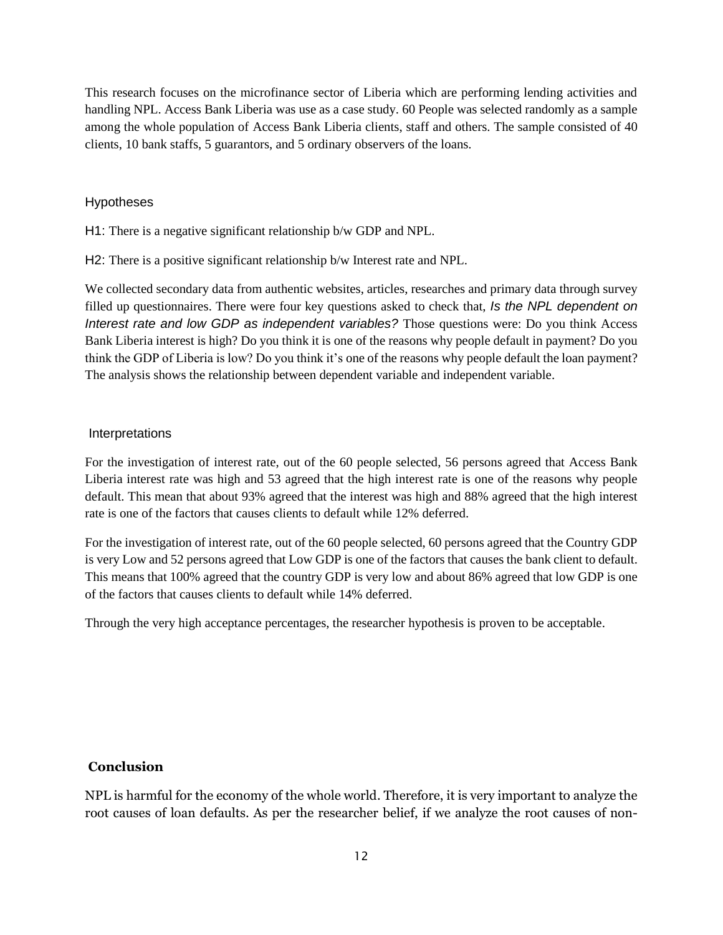This research focuses on the microfinance sector of Liberia which are performing lending activities and handling NPL. Access Bank Liberia was use as a case study. 60 People was selected randomly as a sample among the whole population of Access Bank Liberia clients, staff and others. The sample consisted of 40 clients, 10 bank staffs, 5 guarantors, and 5 ordinary observers of the loans.

#### Hypotheses

H1: There is a negative significant relationship b/w GDP and NPL.

H2: There is a positive significant relationship b/w Interest rate and NPL.

We collected secondary data from authentic websites, articles, researches and primary data through survey filled up questionnaires. There were four key questions asked to check that, *Is the NPL dependent on Interest rate and low GDP as independent variables?* Those questions were: Do you think Access Bank Liberia interest is high? Do you think it is one of the reasons why people default in payment? Do you think the GDP of Liberia is low? Do you think it's one of the reasons why people default the loan payment? The analysis shows the relationship between dependent variable and independent variable.

#### Interpretations

For the investigation of interest rate, out of the 60 people selected, 56 persons agreed that Access Bank Liberia interest rate was high and 53 agreed that the high interest rate is one of the reasons why people default. This mean that about 93% agreed that the interest was high and 88% agreed that the high interest rate is one of the factors that causes clients to default while 12% deferred.

For the investigation of interest rate, out of the 60 people selected, 60 persons agreed that the Country GDP is very Low and 52 persons agreed that Low GDP is one of the factors that causes the bank client to default. This means that 100% agreed that the country GDP is very low and about 86% agreed that low GDP is one of the factors that causes clients to default while 14% deferred.

Through the very high acceptance percentages, the researcher hypothesis is proven to be acceptable.

#### **Conclusion**

NPL is harmful for the economy of the whole world. Therefore, it is very important to analyze the root causes of loan defaults. As per the researcher belief, if we analyze the root causes of non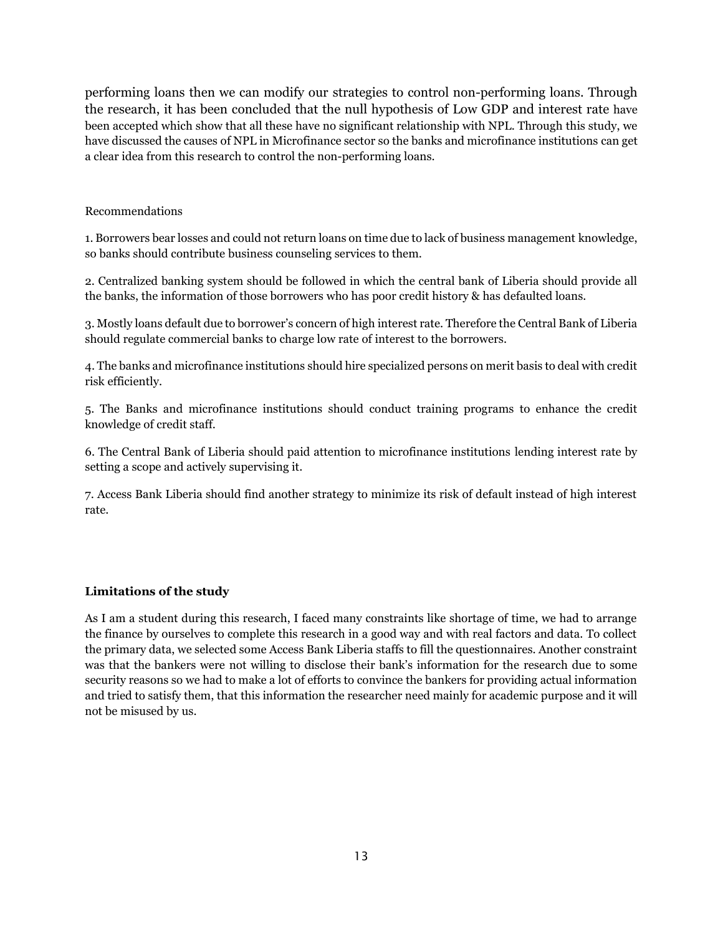performing loans then we can modify our strategies to control non-performing loans. Through the research, it has been concluded that the null hypothesis of Low GDP and interest rate have been accepted which show that all these have no significant relationship with NPL. Through this study, we have discussed the causes of NPL in Microfinance sector so the banks and microfinance institutions can get a clear idea from this research to control the non-performing loans.

#### Recommendations

1. Borrowers bear losses and could not return loans on time due to lack of business management knowledge, so banks should contribute business counseling services to them.

2. Centralized banking system should be followed in which the central bank of Liberia should provide all the banks, the information of those borrowers who has poor credit history & has defaulted loans.

3. Mostly loans default due to borrower's concern of high interest rate. Therefore the Central Bank of Liberia should regulate commercial banks to charge low rate of interest to the borrowers.

4. The banks and microfinance institutions should hire specialized persons on merit basis to deal with credit risk efficiently.

5. The Banks and microfinance institutions should conduct training programs to enhance the credit knowledge of credit staff.

6. The Central Bank of Liberia should paid attention to microfinance institutions lending interest rate by setting a scope and actively supervising it.

7. Access Bank Liberia should find another strategy to minimize its risk of default instead of high interest rate.

#### **Limitations of the study**

As I am a student during this research, I faced many constraints like shortage of time, we had to arrange the finance by ourselves to complete this research in a good way and with real factors and data. To collect the primary data, we selected some Access Bank Liberia staffs to fill the questionnaires. Another constraint was that the bankers were not willing to disclose their bank's information for the research due to some security reasons so we had to make a lot of efforts to convince the bankers for providing actual information and tried to satisfy them, that this information the researcher need mainly for academic purpose and it will not be misused by us.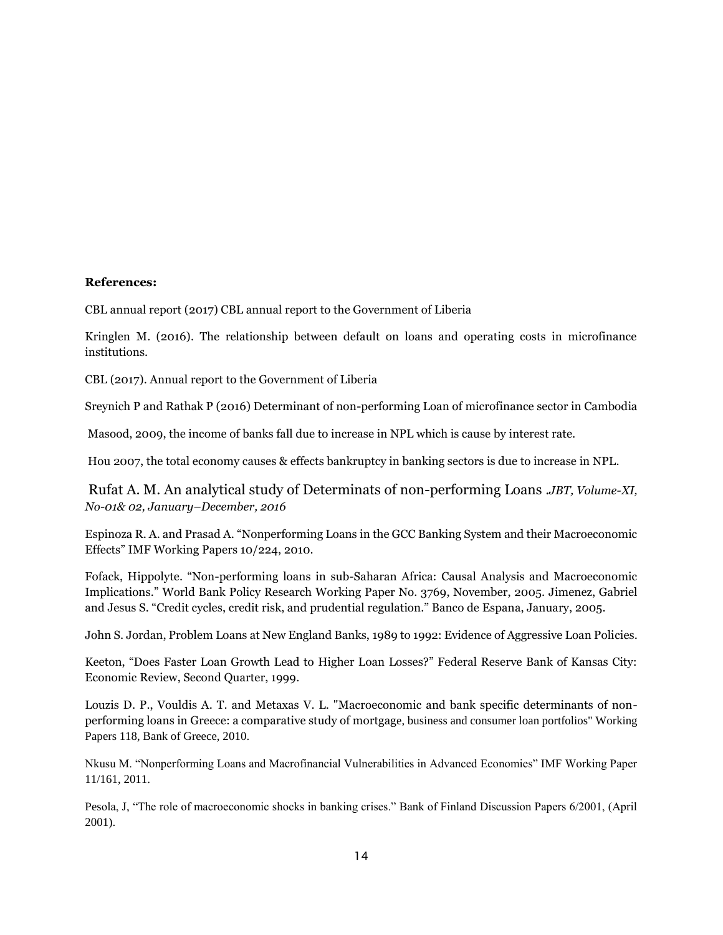#### **References:**

CBL annual report (2017) CBL annual report to the Government of Liberia

Kringlen M. (2016). The relationship between default on loans and operating costs in microfinance institutions.

CBL (2017). Annual report to the Government of Liberia

Sreynich P and Rathak P (2016) Determinant of non-performing Loan of microfinance sector in Cambodia

Masood, 2009, the income of banks fall due to increase in NPL which is cause by interest rate.

Hou 2007, the total economy causes & effects bankruptcy in banking sectors is due to increase in NPL.

Rufat A. M. An analytical study of Determinats of non-performing Loans .*JBT, Volume-XI, No-01& 02, January–December, 2016*

Espinoza R. A. and Prasad A. "Nonperforming Loans in the GCC Banking System and their Macroeconomic Effects" IMF Working Papers 10/224, 2010.

Fofack, Hippolyte. "Non-performing loans in sub-Saharan Africa: Causal Analysis and Macroeconomic Implications." World Bank Policy Research Working Paper No. 3769, November, 2005. Jimenez, Gabriel and Jesus S. "Credit cycles, credit risk, and prudential regulation." Banco de Espana, January, 2005.

John S. Jordan, Problem Loans at New England Banks, 1989 to 1992: Evidence of Aggressive Loan Policies.

Keeton, "Does Faster Loan Growth Lead to Higher Loan Losses?" Federal Reserve Bank of Kansas City: Economic Review, Second Quarter, 1999.

Louzis D. P., Vouldis A. T. and Metaxas V. L. "Macroeconomic and bank specific determinants of nonperforming loans in Greece: a comparative study of mortgage, business and consumer loan portfolios" Working Papers 118, Bank of Greece, 2010.

Nkusu M. "Nonperforming Loans and Macrofinancial Vulnerabilities in Advanced Economies" IMF Working Paper 11/161, 2011.

Pesola, J, "The role of macroeconomic shocks in banking crises." Bank of Finland Discussion Papers 6/2001, (April 2001).